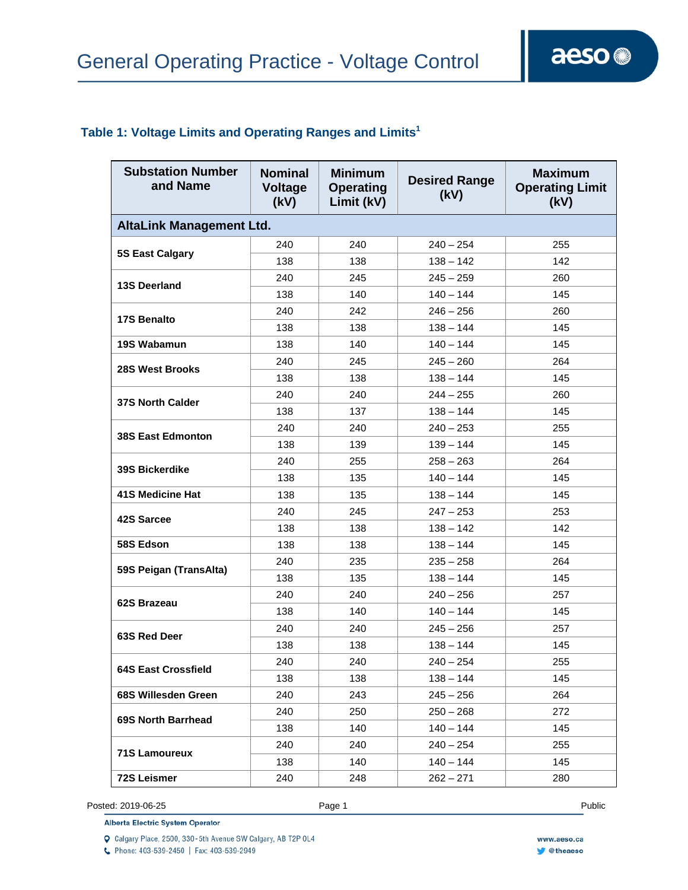### **Table 1: Voltage Limits and Operating Ranges and Limits1**

| <b>Substation Number</b><br>and Name | <b>Nominal</b><br><b>Voltage</b><br>(kV) | <b>Minimum</b><br><b>Operating</b><br>Limit (kV) | <b>Desired Range</b><br>(kV) | <b>Maximum</b><br><b>Operating Limit</b><br>(kV) |  |
|--------------------------------------|------------------------------------------|--------------------------------------------------|------------------------------|--------------------------------------------------|--|
| <b>AltaLink Management Ltd.</b>      |                                          |                                                  |                              |                                                  |  |
| <b>5S East Calgary</b>               | 240                                      | 240                                              | $240 - 254$                  | 255                                              |  |
|                                      | 138                                      | 138                                              | $138 - 142$                  | 142                                              |  |
| <b>13S Deerland</b>                  | 240                                      | 245                                              | $245 - 259$                  | 260                                              |  |
|                                      | 138                                      | 140                                              | $140 - 144$                  | 145                                              |  |
| <b>17S Benalto</b>                   | 240                                      | 242                                              | $246 - 256$                  | 260                                              |  |
|                                      | 138                                      | 138                                              | $138 - 144$                  | 145                                              |  |
| 19S Wabamun                          | 138                                      | 140                                              | $140 - 144$                  | 145                                              |  |
| 28S West Brooks                      | 240                                      | 245                                              | $245 - 260$                  | 264                                              |  |
|                                      | 138                                      | 138                                              | $138 - 144$                  | 145                                              |  |
| <b>37S North Calder</b>              | 240                                      | 240                                              | $244 - 255$                  | 260                                              |  |
|                                      | 138                                      | 137                                              | $138 - 144$                  | 145                                              |  |
| 38S East Edmonton                    | 240                                      | 240                                              | $240 - 253$                  | 255                                              |  |
|                                      | 138                                      | 139                                              | $139 - 144$                  | 145                                              |  |
|                                      | 240                                      | 255                                              | $258 - 263$                  | 264                                              |  |
| <b>39S Bickerdike</b>                | 138                                      | 135                                              | $140 - 144$                  | 145                                              |  |
| <b>41S Medicine Hat</b>              | 138                                      | 135                                              | $138 - 144$                  | 145                                              |  |
| 42S Sarcee                           | 240                                      | 245                                              | $247 - 253$                  | 253                                              |  |
|                                      | 138                                      | 138                                              | $138 - 142$                  | 142                                              |  |
| 58S Edson                            | 138                                      | 138                                              | $138 - 144$                  | 145                                              |  |
| 59S Peigan (TransAlta)               | 240                                      | 235                                              | $235 - 258$                  | 264                                              |  |
|                                      | 138                                      | 135                                              | $138 - 144$                  | 145                                              |  |
| 62S Brazeau                          | 240                                      | 240                                              | $240 - 256$                  | 257                                              |  |
|                                      | 138                                      | 140                                              | $140 - 144$                  | 145                                              |  |
| 63S Red Deer                         | 240                                      | 240                                              | $245 - 256$                  | 257                                              |  |
|                                      | 138                                      | 138                                              | $138 - 144$                  | 145                                              |  |
|                                      | 240                                      | 240                                              | $240 - 254$                  | 255                                              |  |
| <b>64S East Crossfield</b>           | 138                                      | 138                                              | $138 - 144$                  | 145                                              |  |
| 68S Willesden Green                  | 240                                      | 243                                              | $245 - 256$                  | 264                                              |  |
| 69S North Barrhead                   | 240                                      | 250                                              | $250 - 268$                  | 272                                              |  |
|                                      | 138                                      | 140                                              | $140 - 144$                  | 145                                              |  |
| <b>71S Lamoureux</b>                 | 240                                      | 240                                              | $240 - 254$                  | 255                                              |  |
|                                      | 138                                      | 140                                              | 140 – 144                    | 145                                              |  |
| <b>72S Leismer</b>                   | 240                                      | 248                                              | $262 - 271$                  | 280                                              |  |

Posted: 2019-06-25 Page 1 Public Posted: 2019-06-25 Public Public Public Public Public Public Public Public Public Public Public Public Public Public Public Public Public Public Public Public Public Public Public Public Pu

**Alberta Electric System Operator** 

Q Calgary Place, 2500, 330-5th Avenue SW Calgary, AB T2P 0L4

C Phone: 403-539-2450 | Fax: 403-539-2949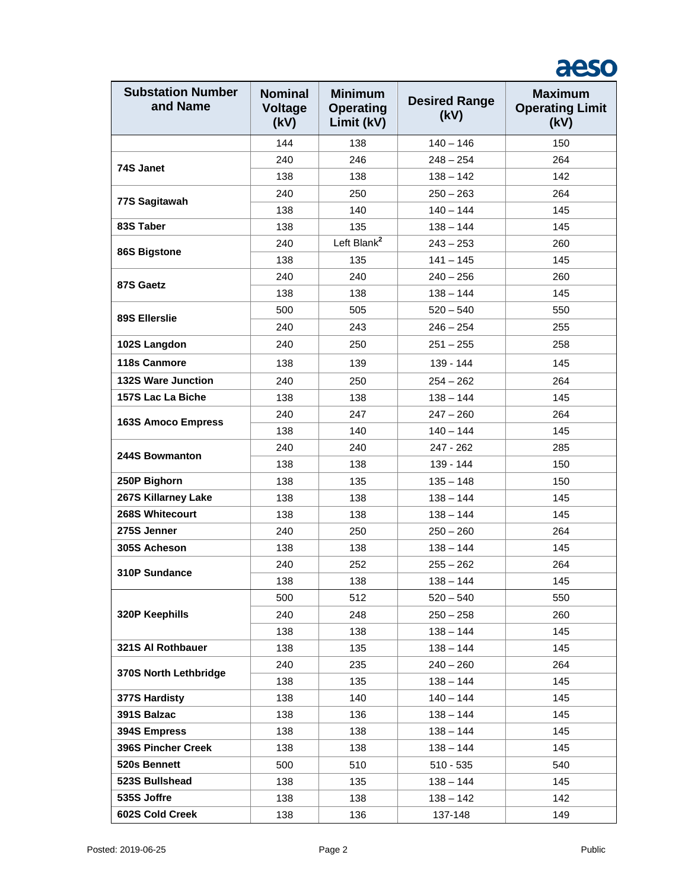## aeso

| <b>Substation Number</b><br>and Name | <b>Nominal</b><br><b>Voltage</b><br>(kV) | <b>Minimum</b><br><b>Operating</b><br>Limit (kV) | <b>Desired Range</b><br>(kV) | <b>Maximum</b><br><b>Operating Limit</b><br>(kV) |
|--------------------------------------|------------------------------------------|--------------------------------------------------|------------------------------|--------------------------------------------------|
|                                      | 144                                      | 138                                              | $140 - 146$                  | 150                                              |
|                                      | 240                                      | 246                                              | $248 - 254$                  | 264                                              |
| 74S Janet                            | 138                                      | 138                                              | $138 - 142$                  | 142                                              |
|                                      | 240                                      | 250                                              | $250 - 263$                  | 264                                              |
| 77S Sagitawah                        | 138                                      | 140                                              | $140 - 144$                  | 145                                              |
| 83S Taber                            | 138                                      | 135                                              | $138 - 144$                  | 145                                              |
|                                      | 240                                      | Left Blank <sup>2</sup>                          | $243 - 253$                  | 260                                              |
| 86S Bigstone                         | 138                                      | 135                                              | $141 - 145$                  | 145                                              |
|                                      | 240                                      | 240                                              | $240 - 256$                  | 260                                              |
| 87S Gaetz                            | 138                                      | 138                                              | $138 - 144$                  | 145                                              |
| <b>89S Ellerslie</b>                 | 500                                      | 505                                              | $520 - 540$                  | 550                                              |
|                                      | 240                                      | 243                                              | $246 - 254$                  | 255                                              |
| 102S Langdon                         | 240                                      | 250                                              | $251 - 255$                  | 258                                              |
| 118s Canmore                         | 138                                      | 139                                              | 139 - 144                    | 145                                              |
| <b>132S Ware Junction</b>            | 240                                      | 250                                              | $254 - 262$                  | 264                                              |
| 157S Lac La Biche                    | 138                                      | 138                                              | $138 - 144$                  | 145                                              |
|                                      | 240                                      | 247                                              | $247 - 260$                  | 264                                              |
| <b>163S Amoco Empress</b>            | 138                                      | 140                                              | $140 - 144$                  | 145                                              |
|                                      | 240                                      | 240                                              | 247 - 262                    | 285                                              |
| 244S Bowmanton                       | 138                                      | 138                                              | 139 - 144                    | 150                                              |
| 250P Bighorn                         | 138                                      | 135                                              | $135 - 148$                  | 150                                              |
| 267S Killarney Lake                  | 138                                      | 138                                              | $138 - 144$                  | 145                                              |
| 268S Whitecourt                      | 138                                      | 138                                              | $138 - 144$                  | 145                                              |
| 275S Jenner                          | 240                                      | 250                                              | $250 - 260$                  | 264                                              |
| 305S Acheson                         | 138                                      | 138                                              | $138 - 144$                  | 145                                              |
| 310P Sundance                        | 240                                      | 252                                              | $255 - 262$                  | 264                                              |
|                                      | 138                                      | 138                                              | $138 - 144$                  | 145                                              |
|                                      | 500                                      | 512                                              | $520 - 540$                  | 550                                              |
| 320P Keephills                       | 240                                      | 248                                              | $250 - 258$                  | 260                                              |
|                                      | 138                                      | 138                                              | $138 - 144$                  | 145                                              |
| 321S Al Rothbauer                    | 138                                      | 135                                              | $138 - 144$                  | 145                                              |
| 370S North Lethbridge                | 240                                      | 235                                              | $240 - 260$                  | 264                                              |
|                                      | 138                                      | 135                                              | $138 - 144$                  | 145                                              |
| 377S Hardisty                        | 138                                      | 140                                              | $140 - 144$                  | 145                                              |
| 391S Balzac                          | 138                                      | 136                                              | $138 - 144$                  | 145                                              |
| 394S Empress                         | 138                                      | 138                                              | $138 - 144$                  | 145                                              |
| 396S Pincher Creek                   | 138                                      | 138                                              | $138 - 144$                  | 145                                              |
| 520s Bennett                         | 500                                      | 510                                              | $510 - 535$                  | 540                                              |
| 523S Bullshead                       | 138                                      | 135                                              | $138 - 144$                  | 145                                              |
| 535S Joffre                          | 138                                      | 138                                              | $138 - 142$                  | 142                                              |
| 602S Cold Creek                      | 138                                      | 136                                              | 137-148                      | 149                                              |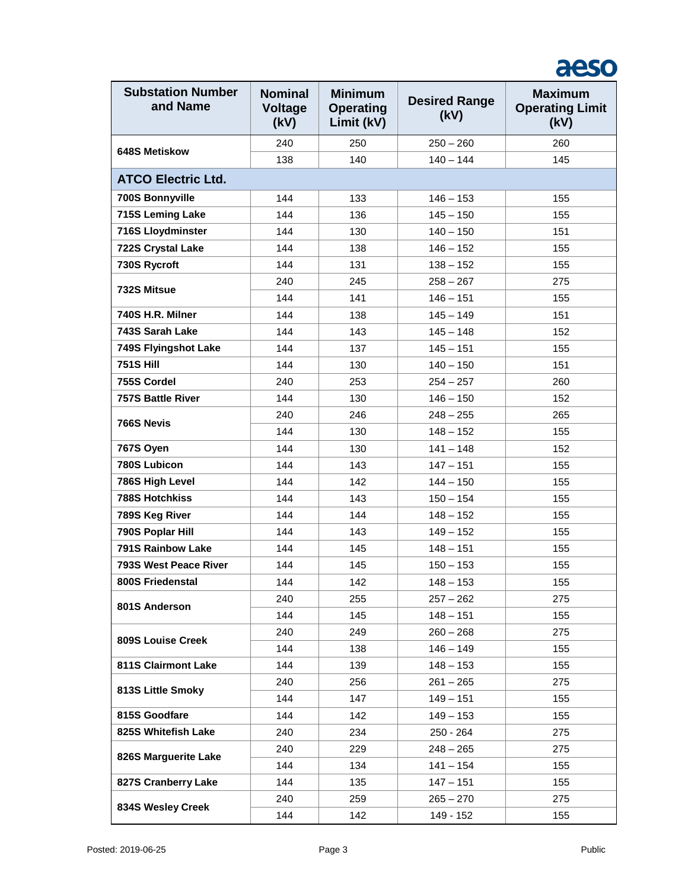#### **Substation Number and Name Nominal Voltage (kV) Minimum Operating Limit (kV) Desired Range (kV) Maximum Operating Limit (kV) 648S Metiskow**  240 250 250 – 260 260 138 140 140 - 144 145 **ATCO Electric Ltd. 700S Bonnyville** 144 133 146 – 153 155 **715S Leming Lake** 144 136 145 – 150 155 **716S Lloydminster**  $\begin{array}{|c|c|c|c|c|} \hline \end{array}$  144 | 130 | 140 – 150 | 151 **722S Crystal Lake**  $\begin{array}{|c|c|c|c|c|} \hline \end{array}$  144 138 146 – 152 155 **730S Rycroft** 144 131 138 – 152 155 **732S Mitsue**  240 245 258 – 267 275 144 | 141 | 146 – 151 | 155 **740S H.R. Milner** 144 138 145 – 149 151 **743S Sarah Lake** 144 143 145 – 148 152 **749S Flyingshot Lake**  $\begin{array}{|c|c|c|c|c|} \hline \end{array}$  144 137 145 – 151 155 **751S Hill** 144 130 140 – 150 151 **755S Cordel** 240 253 254 – 257 260 **757S Battle River**  144 130 146 – 150 152 **766S Nevis**  240 246 248 – 255 265 144 | 130 | 148 – 152 | 155 **767S Oyen** 144 130 141 – 148 152 **780S Lubicon** 144 143 147 – 151 155 **786S High Level** 144 142 144 – 150 155 **788S Hotchkiss** 144 143 150 – 154 155 **789S Keg River** 144 144 148 – 152 155 **790S Poplar Hill** 144 143 149 – 152 155 **791S Rainbow Lake** 144 145 148 – 148 155 **793S West Peace River**  $\begin{array}{|c|c|c|c|c|} \hline \end{array}$  144 145 150 – 153 155 155 **800S Friedenstal** 144 142 148 – 153 155 **801S Anderson**  240 255 257 – 262 275 144 145 148 – 151 155 **809S Louise Creek**  240 249 260 – 268 275 144 | 138 | 146 – 149 | 155 **811S Clairmont Lake**  $\begin{array}{|c|c|c|c|c|} \hline \end{array}$  139 148 – 153 155 **813S Little Smoky**  240 256 261 – 265 275 144 147 149 – 151 155 **815S Goodfare** 144 142 149 – 153 155 **825S Whitefish Lake** 240 234 250 - 264 275 **826S Marguerite Lake**  240 229 248 – 265 275 144 134 141 – 154 155 **827S Cranberry Lake** | 144 | 135 | 147 – 151 | 155 **834S Wesley Creek**  240 259 265 – 270 275 144 | 142 | 149 - 152 | 155

aeso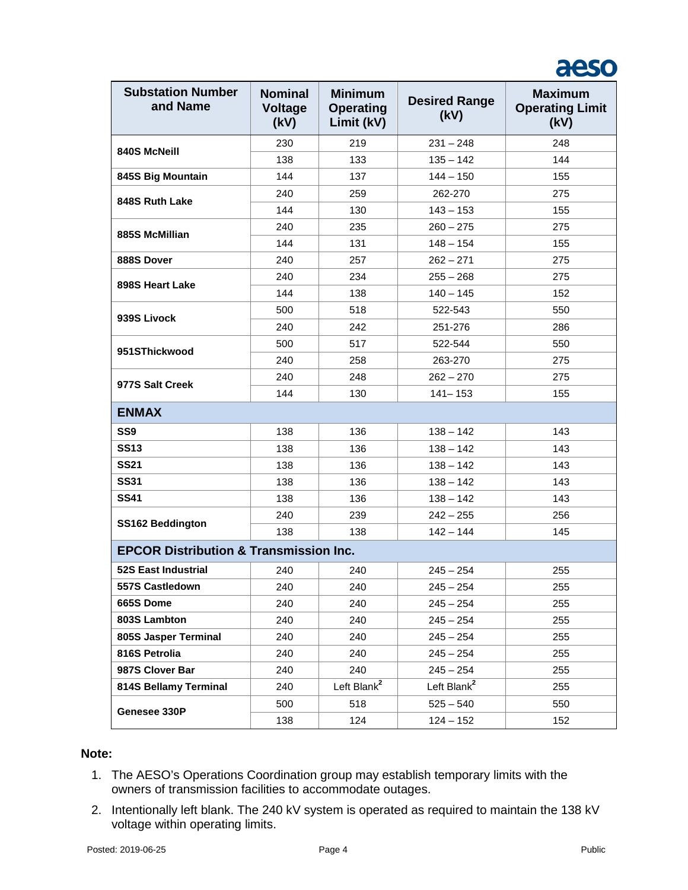## aeso

| <b>Substation Number</b><br>and Name              | <b>Nominal</b><br><b>Voltage</b><br>(kV) | <b>Minimum</b><br><b>Operating</b><br>Limit (kV) | <b>Desired Range</b><br>(kV) | <b>Maximum</b><br><b>Operating Limit</b><br>(kV) |  |
|---------------------------------------------------|------------------------------------------|--------------------------------------------------|------------------------------|--------------------------------------------------|--|
| 840S McNeill                                      | 230                                      | 219                                              | $231 - 248$                  | 248                                              |  |
|                                                   | 138                                      | 133                                              | $135 - 142$                  | 144                                              |  |
| 845S Big Mountain                                 | 144                                      | 137                                              | $144 - 150$                  | 155                                              |  |
| 848S Ruth Lake                                    | 240                                      | 259                                              | 262-270                      | 275                                              |  |
|                                                   | 144                                      | 130                                              | $143 - 153$                  | 155                                              |  |
| 885S McMillian                                    | 240                                      | 235                                              | $260 - 275$                  | 275                                              |  |
|                                                   | 144                                      | 131                                              | $148 - 154$                  | 155                                              |  |
| 888S Dover                                        | 240                                      | 257                                              | $262 - 271$                  | 275                                              |  |
| 898S Heart Lake                                   | 240                                      | 234                                              | $255 - 268$                  | 275                                              |  |
|                                                   | 144                                      | 138                                              | $140 - 145$                  | 152                                              |  |
| 939S Livock                                       | 500                                      | 518                                              | 522-543                      | 550                                              |  |
|                                                   | 240                                      | 242                                              | 251-276                      | 286                                              |  |
| 951SThickwood                                     | 500                                      | 517                                              | 522-544                      | 550                                              |  |
|                                                   | 240                                      | 258                                              | 263-270                      | 275                                              |  |
| 977S Salt Creek                                   | 240                                      | 248                                              | $262 - 270$                  | 275                                              |  |
|                                                   | 144                                      | 130                                              | $141 - 153$                  | 155                                              |  |
| <b>ENMAX</b>                                      |                                          |                                                  |                              |                                                  |  |
| SS <sub>9</sub>                                   | 138                                      | 136                                              | $138 - 142$                  | 143                                              |  |
| <b>SS13</b>                                       | 138                                      | 136                                              | $138 - 142$                  | 143                                              |  |
| <b>SS21</b>                                       | 138                                      | 136                                              | $138 - 142$                  | 143                                              |  |
| <b>SS31</b>                                       | 138                                      | 136                                              | $138 - 142$                  | 143                                              |  |
| <b>SS41</b>                                       | 138                                      | 136                                              | $138 - 142$                  | 143                                              |  |
| <b>SS162 Beddington</b>                           | 240                                      | 239                                              | $242 - 255$                  | 256                                              |  |
|                                                   | 138                                      | 138                                              | $142 - 144$                  | 145                                              |  |
| <b>EPCOR Distribution &amp; Transmission Inc.</b> |                                          |                                                  |                              |                                                  |  |
| <b>52S East Industrial</b>                        | 240                                      | 240                                              | $245 - 254$                  | 255                                              |  |
| 557S Castledown                                   | 240                                      | 240                                              | $245 - 254$                  | 255                                              |  |
| 665S Dome                                         | 240                                      | 240                                              | $245 - 254$                  | 255                                              |  |
| 803S Lambton                                      | 240                                      | 240                                              | $245 - 254$                  | 255                                              |  |
| 805S Jasper Terminal                              | 240                                      | 240                                              | $245 - 254$                  | 255                                              |  |
| 816S Petrolia                                     | 240                                      | 240                                              | $245 - 254$                  | 255                                              |  |
| 987S Clover Bar                                   | 240                                      | 240                                              | $245 - 254$                  | 255                                              |  |
| 814S Bellamy Terminal                             | 240                                      | Left Blank <sup>2</sup>                          | Left Blank <sup>2</sup>      | 255                                              |  |
|                                                   | 500                                      | 518                                              | $525 - 540$                  | 550                                              |  |
| Genesee 330P                                      | 138                                      | 124                                              | $124 - 152$                  | 152                                              |  |

#### **Note:**

- 1. The AESO's Operations Coordination group may establish temporary limits with the owners of transmission facilities to accommodate outages.
- 2. Intentionally left blank. The 240 kV system is operated as required to maintain the 138 kV voltage within operating limits.